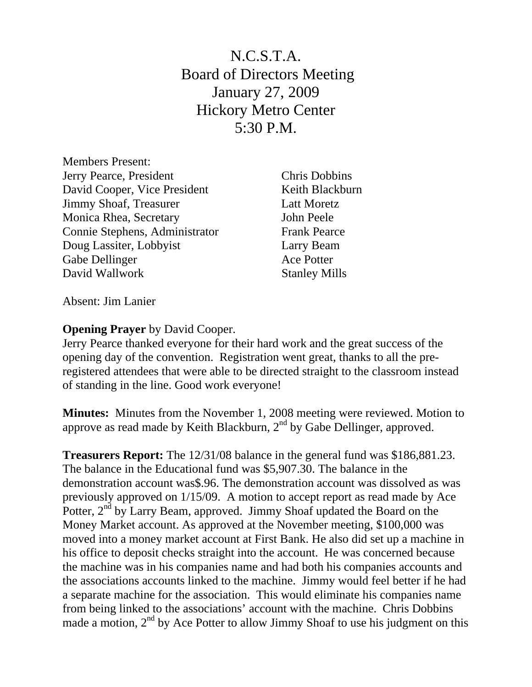N.C.S.T.A. Board of Directors Meeting January 27, 2009 Hickory Metro Center 5:30 P.M.

Members Present: Jerry Pearce, President Chris Dobbins David Cooper, Vice President Keith Blackburn Jimmy Shoaf, Treasurer Latt Moretz Monica Rhea, Secretary John Peele Connie Stephens, Administrator Frank Pearce Doug Lassiter, Lobbyist Larry Beam Gabe Dellinger Ace Potter David Wallwork Stanley Mills

Absent: Jim Lanier

## **Opening Prayer** by David Cooper.

Jerry Pearce thanked everyone for their hard work and the great success of the opening day of the convention. Registration went great, thanks to all the preregistered attendees that were able to be directed straight to the classroom instead of standing in the line. Good work everyone!

**Minutes:** Minutes from the November 1, 2008 meeting were reviewed. Motion to approve as read made by Keith Blackburn,  $2<sup>nd</sup>$  by Gabe Dellinger, approved.

**Treasurers Report:** The 12/31/08 balance in the general fund was \$186,881.23. The balance in the Educational fund was \$5,907.30. The balance in the demonstration account was\$.96. The demonstration account was dissolved as was previously approved on 1/15/09. A motion to accept report as read made by Ace Potter, 2<sup>nd</sup> by Larry Beam, approved. Jimmy Shoaf updated the Board on the Money Market account. As approved at the November meeting, \$100,000 was moved into a money market account at First Bank. He also did set up a machine in his office to deposit checks straight into the account. He was concerned because the machine was in his companies name and had both his companies accounts and the associations accounts linked to the machine. Jimmy would feel better if he had a separate machine for the association. This would eliminate his companies name from being linked to the associations' account with the machine. Chris Dobbins made a motion,  $2<sup>nd</sup>$  by Ace Potter to allow Jimmy Shoaf to use his judgment on this